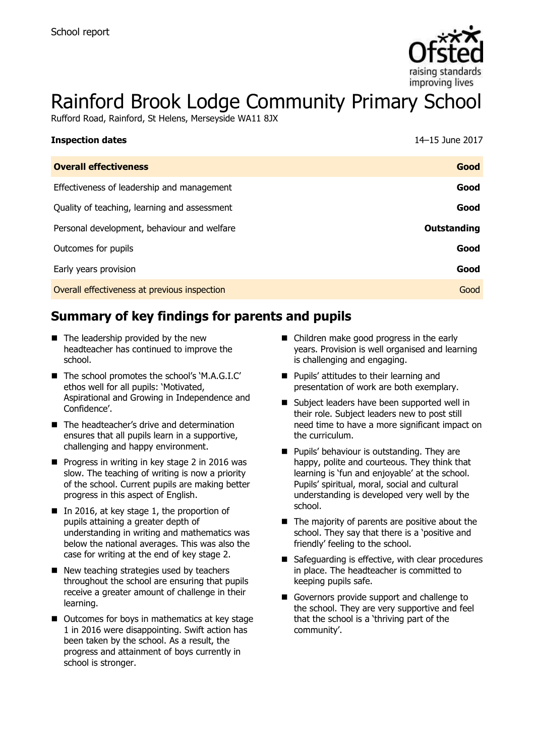

# Rainford Brook Lodge Community Primary School

Rufford Road, Rainford, St Helens, Merseyside WA11 8JX

| <b>Inspection dates</b>                      | 14-15 June 2017 |
|----------------------------------------------|-----------------|
| <b>Overall effectiveness</b>                 | Good            |
| Effectiveness of leadership and management   | Good            |
| Quality of teaching, learning and assessment | Good            |
| Personal development, behaviour and welfare  | Outstanding     |
| Outcomes for pupils                          | Good            |
| Early years provision                        | Good            |
| Overall effectiveness at previous inspection | Good            |

# **Summary of key findings for parents and pupils**

- $\blacksquare$  The leadership provided by the new headteacher has continued to improve the school.
- The school promotes the school's 'M.A.G.I.C' ethos well for all pupils: 'Motivated, Aspirational and Growing in Independence and Confidence'.
- The headteacher's drive and determination ensures that all pupils learn in a supportive, challenging and happy environment.
- $\blacksquare$  Progress in writing in key stage 2 in 2016 was slow. The teaching of writing is now a priority of the school. Current pupils are making better progress in this aspect of English.
- In 2016, at key stage 1, the proportion of pupils attaining a greater depth of understanding in writing and mathematics was below the national averages. This was also the case for writing at the end of key stage 2.
- New teaching strategies used by teachers throughout the school are ensuring that pupils receive a greater amount of challenge in their learning.
- $\blacksquare$  Outcomes for boys in mathematics at key stage 1 in 2016 were disappointing. Swift action has been taken by the school. As a result, the progress and attainment of boys currently in school is stronger.
- Children make good progress in the early years. Provision is well organised and learning is challenging and engaging.
- **Pupils' attitudes to their learning and** presentation of work are both exemplary.
- Subject leaders have been supported well in their role. Subject leaders new to post still need time to have a more significant impact on the curriculum.
- **Pupils' behaviour is outstanding. They are** happy, polite and courteous. They think that learning is 'fun and enjoyable' at the school. Pupils' spiritual, moral, social and cultural understanding is developed very well by the school.
- $\blacksquare$  The majority of parents are positive about the school. They say that there is a 'positive and friendly' feeling to the school.
- Safeguarding is effective, with clear procedures in place. The headteacher is committed to keeping pupils safe.
- Governors provide support and challenge to the school. They are very supportive and feel that the school is a 'thriving part of the community'.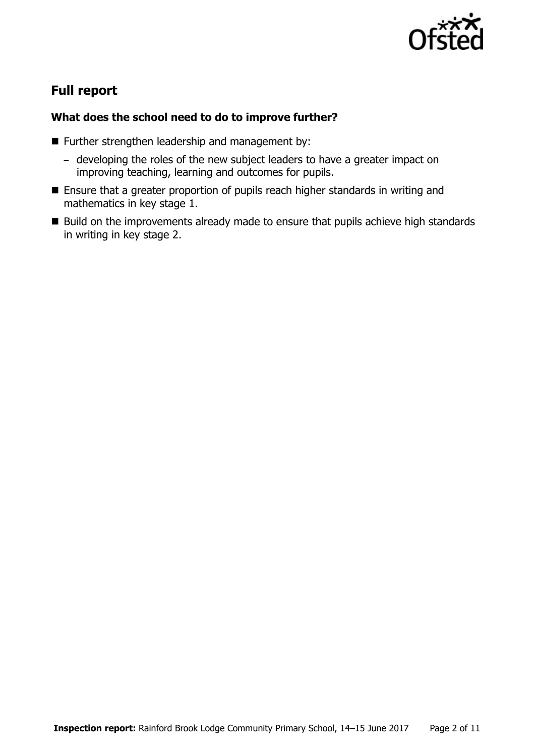

# **Full report**

### **What does the school need to do to improve further?**

- Further strengthen leadership and management by:
	- developing the roles of the new subject leaders to have a greater impact on improving teaching, learning and outcomes for pupils.
- **Ensure that a greater proportion of pupils reach higher standards in writing and** mathematics in key stage 1.
- Build on the improvements already made to ensure that pupils achieve high standards in writing in key stage 2.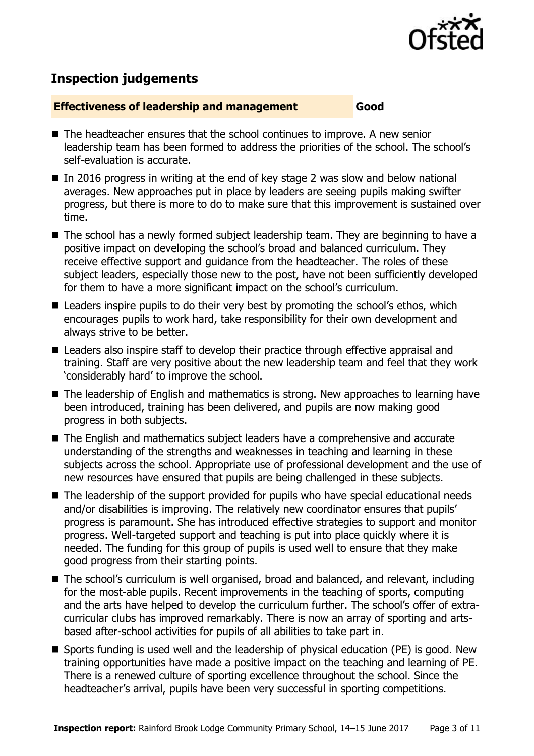

# **Inspection judgements**

#### **Effectiveness of leadership and management Good**

- The headteacher ensures that the school continues to improve. A new senior leadership team has been formed to address the priorities of the school. The school's self-evaluation is accurate.
- In 2016 progress in writing at the end of key stage 2 was slow and below national averages. New approaches put in place by leaders are seeing pupils making swifter progress, but there is more to do to make sure that this improvement is sustained over time.
- The school has a newly formed subject leadership team. They are beginning to have a positive impact on developing the school's broad and balanced curriculum. They receive effective support and guidance from the headteacher. The roles of these subject leaders, especially those new to the post, have not been sufficiently developed for them to have a more significant impact on the school's curriculum.
- Leaders inspire pupils to do their very best by promoting the school's ethos, which encourages pupils to work hard, take responsibility for their own development and always strive to be better.
- Leaders also inspire staff to develop their practice through effective appraisal and training. Staff are very positive about the new leadership team and feel that they work 'considerably hard' to improve the school.
- The leadership of English and mathematics is strong. New approaches to learning have been introduced, training has been delivered, and pupils are now making good progress in both subjects.
- The English and mathematics subject leaders have a comprehensive and accurate understanding of the strengths and weaknesses in teaching and learning in these subjects across the school. Appropriate use of professional development and the use of new resources have ensured that pupils are being challenged in these subjects.
- The leadership of the support provided for pupils who have special educational needs and/or disabilities is improving. The relatively new coordinator ensures that pupils' progress is paramount. She has introduced effective strategies to support and monitor progress. Well-targeted support and teaching is put into place quickly where it is needed. The funding for this group of pupils is used well to ensure that they make good progress from their starting points.
- The school's curriculum is well organised, broad and balanced, and relevant, including for the most-able pupils. Recent improvements in the teaching of sports, computing and the arts have helped to develop the curriculum further. The school's offer of extracurricular clubs has improved remarkably. There is now an array of sporting and artsbased after-school activities for pupils of all abilities to take part in.
- Sports funding is used well and the leadership of physical education (PE) is good. New training opportunities have made a positive impact on the teaching and learning of PE. There is a renewed culture of sporting excellence throughout the school. Since the headteacher's arrival, pupils have been very successful in sporting competitions.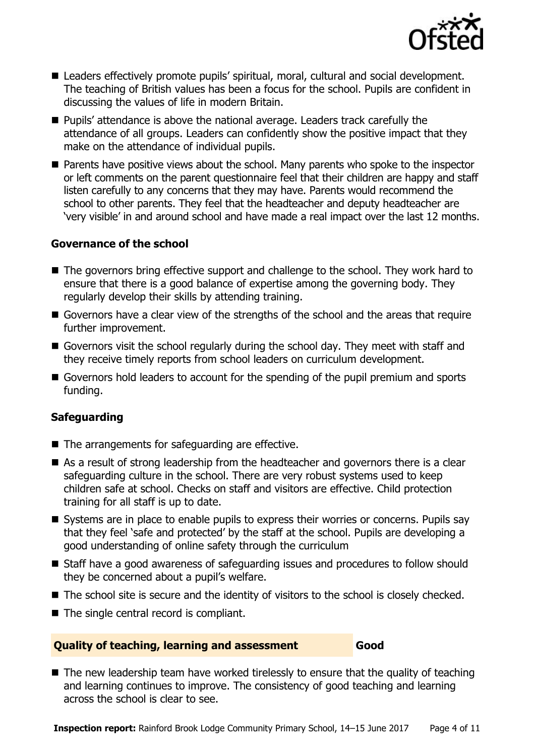

- Leaders effectively promote pupils' spiritual, moral, cultural and social development. The teaching of British values has been a focus for the school. Pupils are confident in discussing the values of life in modern Britain.
- **Pupils'** attendance is above the national average. Leaders track carefully the attendance of all groups. Leaders can confidently show the positive impact that they make on the attendance of individual pupils.
- **Parents have positive views about the school. Many parents who spoke to the inspector** or left comments on the parent questionnaire feel that their children are happy and staff listen carefully to any concerns that they may have. Parents would recommend the school to other parents. They feel that the headteacher and deputy headteacher are 'very visible' in and around school and have made a real impact over the last 12 months.

#### **Governance of the school**

- The governors bring effective support and challenge to the school. They work hard to ensure that there is a good balance of expertise among the governing body. They regularly develop their skills by attending training.
- Governors have a clear view of the strengths of the school and the areas that require further improvement.
- Governors visit the school regularly during the school day. They meet with staff and they receive timely reports from school leaders on curriculum development.
- Governors hold leaders to account for the spending of the pupil premium and sports funding.

#### **Safeguarding**

- The arrangements for safeguarding are effective.
- As a result of strong leadership from the headteacher and governors there is a clear safeguarding culture in the school. There are very robust systems used to keep children safe at school. Checks on staff and visitors are effective. Child protection training for all staff is up to date.
- Systems are in place to enable pupils to express their worries or concerns. Pupils say that they feel 'safe and protected' by the staff at the school. Pupils are developing a good understanding of online safety through the curriculum
- Staff have a good awareness of safeguarding issues and procedures to follow should they be concerned about a pupil's welfare.
- The school site is secure and the identity of visitors to the school is closely checked.
- The single central record is compliant.

#### **Quality of teaching, learning and assessment Good**

 $\blacksquare$  The new leadership team have worked tirelessly to ensure that the quality of teaching and learning continues to improve. The consistency of good teaching and learning across the school is clear to see.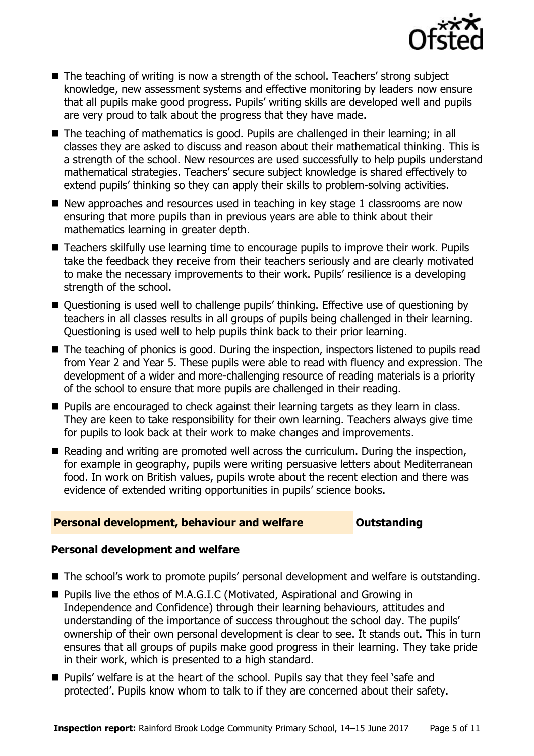

- The teaching of writing is now a strength of the school. Teachers' strong subject knowledge, new assessment systems and effective monitoring by leaders now ensure that all pupils make good progress. Pupils' writing skills are developed well and pupils are very proud to talk about the progress that they have made.
- The teaching of mathematics is good. Pupils are challenged in their learning; in all classes they are asked to discuss and reason about their mathematical thinking. This is a strength of the school. New resources are used successfully to help pupils understand mathematical strategies. Teachers' secure subject knowledge is shared effectively to extend pupils' thinking so they can apply their skills to problem-solving activities.
- $\blacksquare$  New approaches and resources used in teaching in key stage 1 classrooms are now ensuring that more pupils than in previous years are able to think about their mathematics learning in greater depth.
- Teachers skilfully use learning time to encourage pupils to improve their work. Pupils take the feedback they receive from their teachers seriously and are clearly motivated to make the necessary improvements to their work. Pupils' resilience is a developing strength of the school.
- Questioning is used well to challenge pupils' thinking. Effective use of questioning by teachers in all classes results in all groups of pupils being challenged in their learning. Questioning is used well to help pupils think back to their prior learning.
- The teaching of phonics is good. During the inspection, inspectors listened to pupils read from Year 2 and Year 5. These pupils were able to read with fluency and expression. The development of a wider and more-challenging resource of reading materials is a priority of the school to ensure that more pupils are challenged in their reading.
- **Pupils are encouraged to check against their learning targets as they learn in class.** They are keen to take responsibility for their own learning. Teachers always give time for pupils to look back at their work to make changes and improvements.
- Reading and writing are promoted well across the curriculum. During the inspection, for example in geography, pupils were writing persuasive letters about Mediterranean food. In work on British values, pupils wrote about the recent election and there was evidence of extended writing opportunities in pupils' science books.

#### **Personal development, behaviour and welfare <b>COULTS** Outstanding

#### **Personal development and welfare**

- The school's work to promote pupils' personal development and welfare is outstanding.
- Pupils live the ethos of M.A.G.I.C (Motivated, Aspirational and Growing in Independence and Confidence) through their learning behaviours, attitudes and understanding of the importance of success throughout the school day. The pupils' ownership of their own personal development is clear to see. It stands out. This in turn ensures that all groups of pupils make good progress in their learning. They take pride in their work, which is presented to a high standard.
- Pupils' welfare is at the heart of the school. Pupils say that they feel 'safe and protected'. Pupils know whom to talk to if they are concerned about their safety.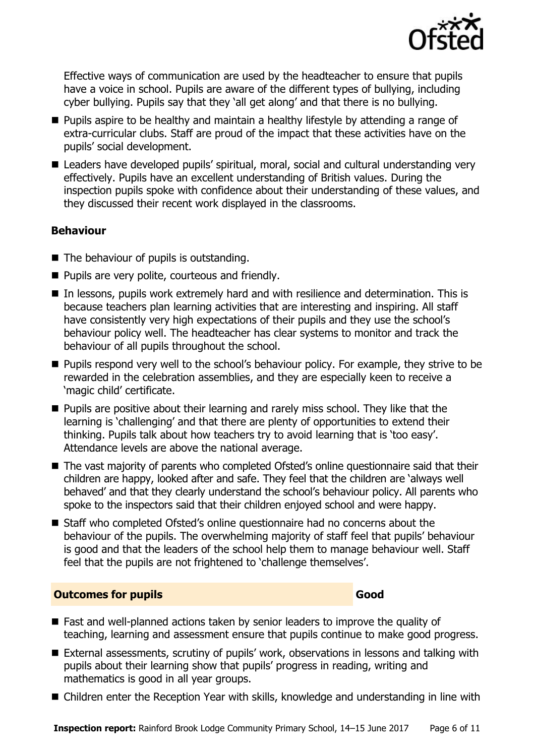

Effective ways of communication are used by the headteacher to ensure that pupils have a voice in school. Pupils are aware of the different types of bullying, including cyber bullying. Pupils say that they 'all get along' and that there is no bullying.

- **Pupils aspire to be healthy and maintain a healthy lifestyle by attending a range of** extra-curricular clubs. Staff are proud of the impact that these activities have on the pupils' social development.
- Leaders have developed pupils' spiritual, moral, social and cultural understanding very effectively. Pupils have an excellent understanding of British values. During the inspection pupils spoke with confidence about their understanding of these values, and they discussed their recent work displayed in the classrooms.

#### **Behaviour**

- The behaviour of pupils is outstanding.
- **Pupils are very polite, courteous and friendly.**
- In lessons, pupils work extremely hard and with resilience and determination. This is because teachers plan learning activities that are interesting and inspiring. All staff have consistently very high expectations of their pupils and they use the school's behaviour policy well. The headteacher has clear systems to monitor and track the behaviour of all pupils throughout the school.
- **Pupils respond very well to the school's behaviour policy. For example, they strive to be** rewarded in the celebration assemblies, and they are especially keen to receive a 'magic child' certificate.
- **Pupils are positive about their learning and rarely miss school. They like that the** learning is 'challenging' and that there are plenty of opportunities to extend their thinking. Pupils talk about how teachers try to avoid learning that is 'too easy'. Attendance levels are above the national average.
- The vast majority of parents who completed Ofsted's online questionnaire said that their children are happy, looked after and safe. They feel that the children are 'always well behaved' and that they clearly understand the school's behaviour policy. All parents who spoke to the inspectors said that their children enjoyed school and were happy.
- Staff who completed Ofsted's online questionnaire had no concerns about the behaviour of the pupils. The overwhelming majority of staff feel that pupils' behaviour is good and that the leaders of the school help them to manage behaviour well. Staff feel that the pupils are not frightened to 'challenge themselves'.

### **Outcomes for pupils Good**

- Fast and well-planned actions taken by senior leaders to improve the quality of teaching, learning and assessment ensure that pupils continue to make good progress.
- External assessments, scrutiny of pupils' work, observations in lessons and talking with pupils about their learning show that pupils' progress in reading, writing and mathematics is good in all year groups.
- Children enter the Reception Year with skills, knowledge and understanding in line with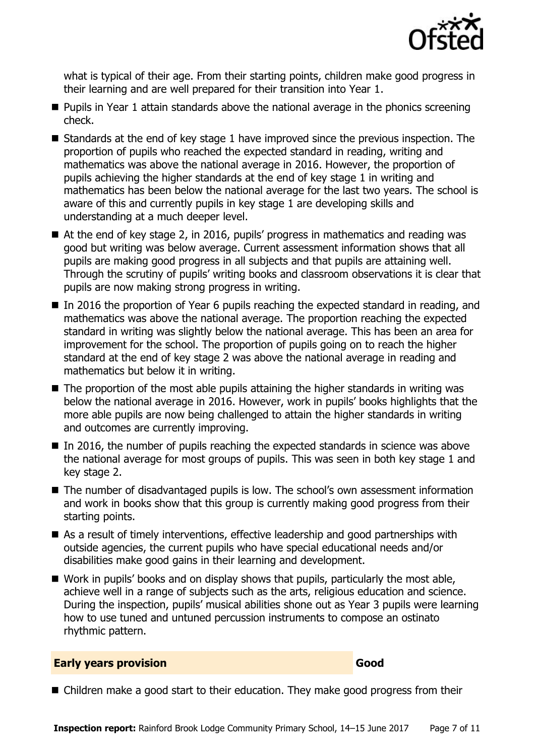

what is typical of their age. From their starting points, children make good progress in their learning and are well prepared for their transition into Year 1.

- **Pupils in Year 1 attain standards above the national average in the phonics screening** check.
- $\blacksquare$  Standards at the end of key stage 1 have improved since the previous inspection. The proportion of pupils who reached the expected standard in reading, writing and mathematics was above the national average in 2016. However, the proportion of pupils achieving the higher standards at the end of key stage 1 in writing and mathematics has been below the national average for the last two years. The school is aware of this and currently pupils in key stage 1 are developing skills and understanding at a much deeper level.
- At the end of key stage 2, in 2016, pupils' progress in mathematics and reading was good but writing was below average. Current assessment information shows that all pupils are making good progress in all subjects and that pupils are attaining well. Through the scrutiny of pupils' writing books and classroom observations it is clear that pupils are now making strong progress in writing.
- In 2016 the proportion of Year 6 pupils reaching the expected standard in reading, and mathematics was above the national average. The proportion reaching the expected standard in writing was slightly below the national average. This has been an area for improvement for the school. The proportion of pupils going on to reach the higher standard at the end of key stage 2 was above the national average in reading and mathematics but below it in writing.
- $\blacksquare$  The proportion of the most able pupils attaining the higher standards in writing was below the national average in 2016. However, work in pupils' books highlights that the more able pupils are now being challenged to attain the higher standards in writing and outcomes are currently improving.
- $\blacksquare$  In 2016, the number of pupils reaching the expected standards in science was above the national average for most groups of pupils. This was seen in both key stage 1 and key stage 2.
- The number of disadvantaged pupils is low. The school's own assessment information and work in books show that this group is currently making good progress from their starting points.
- As a result of timely interventions, effective leadership and good partnerships with outside agencies, the current pupils who have special educational needs and/or disabilities make good gains in their learning and development.
- $\blacksquare$  Work in pupils' books and on display shows that pupils, particularly the most able, achieve well in a range of subjects such as the arts, religious education and science. During the inspection, pupils' musical abilities shone out as Year 3 pupils were learning how to use tuned and untuned percussion instruments to compose an ostinato rhythmic pattern.

#### **Early years provision Good Good**

■ Children make a good start to their education. They make good progress from their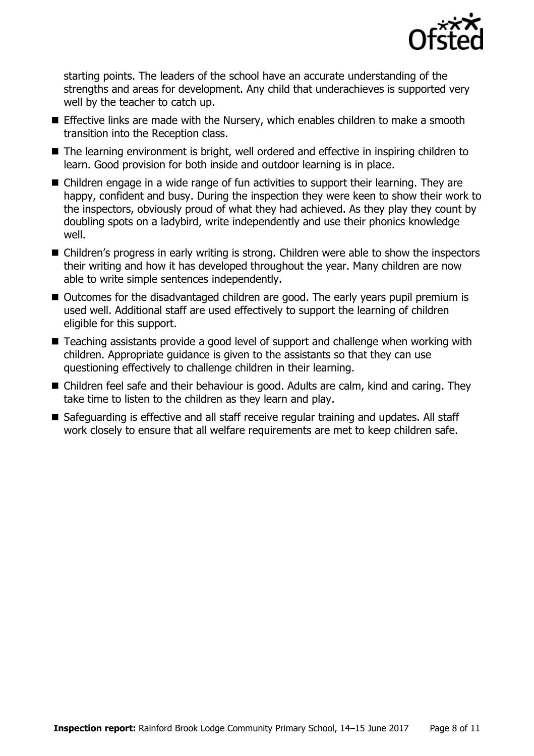

starting points. The leaders of the school have an accurate understanding of the strengths and areas for development. Any child that underachieves is supported very well by the teacher to catch up.

- **Effective links are made with the Nursery, which enables children to make a smooth** transition into the Reception class.
- The learning environment is bright, well ordered and effective in inspiring children to learn. Good provision for both inside and outdoor learning is in place.
- Children engage in a wide range of fun activities to support their learning. They are happy, confident and busy. During the inspection they were keen to show their work to the inspectors, obviously proud of what they had achieved. As they play they count by doubling spots on a ladybird, write independently and use their phonics knowledge well.
- Children's progress in early writing is strong. Children were able to show the inspectors their writing and how it has developed throughout the year. Many children are now able to write simple sentences independently.
- Outcomes for the disadvantaged children are good. The early years pupil premium is used well. Additional staff are used effectively to support the learning of children eligible for this support.
- Teaching assistants provide a good level of support and challenge when working with children. Appropriate guidance is given to the assistants so that they can use questioning effectively to challenge children in their learning.
- Children feel safe and their behaviour is good. Adults are calm, kind and caring. They take time to listen to the children as they learn and play.
- Safeguarding is effective and all staff receive regular training and updates. All staff work closely to ensure that all welfare requirements are met to keep children safe.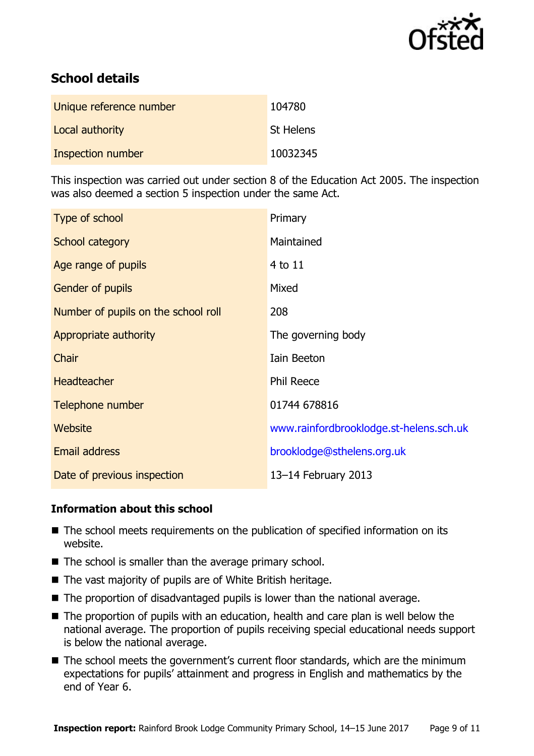

# **School details**

| Unique reference number | 104780           |
|-------------------------|------------------|
| Local authority         | <b>St Helens</b> |
| Inspection number       | 10032345         |

This inspection was carried out under section 8 of the Education Act 2005. The inspection was also deemed a section 5 inspection under the same Act.

| Type of school                      | Primary                                 |
|-------------------------------------|-----------------------------------------|
| School category                     | Maintained                              |
| Age range of pupils                 | 4 to 11                                 |
| Gender of pupils                    | Mixed                                   |
| Number of pupils on the school roll | 208                                     |
| Appropriate authority               | The governing body                      |
| Chair                               | Iain Beeton                             |
| <b>Headteacher</b>                  | <b>Phil Reece</b>                       |
| Telephone number                    | 01744 678816                            |
| <b>Website</b>                      | www.rainfordbrooklodge.st-helens.sch.uk |
| Email address                       | brooklodge@sthelens.org.uk              |
| Date of previous inspection         | 13-14 February 2013                     |

#### **Information about this school**

- The school meets requirements on the publication of specified information on its website.
- $\blacksquare$  The school is smaller than the average primary school.
- The vast majority of pupils are of White British heritage.
- The proportion of disadvantaged pupils is lower than the national average.
- The proportion of pupils with an education, health and care plan is well below the national average. The proportion of pupils receiving special educational needs support is below the national average.
- The school meets the government's current floor standards, which are the minimum expectations for pupils' attainment and progress in English and mathematics by the end of Year 6.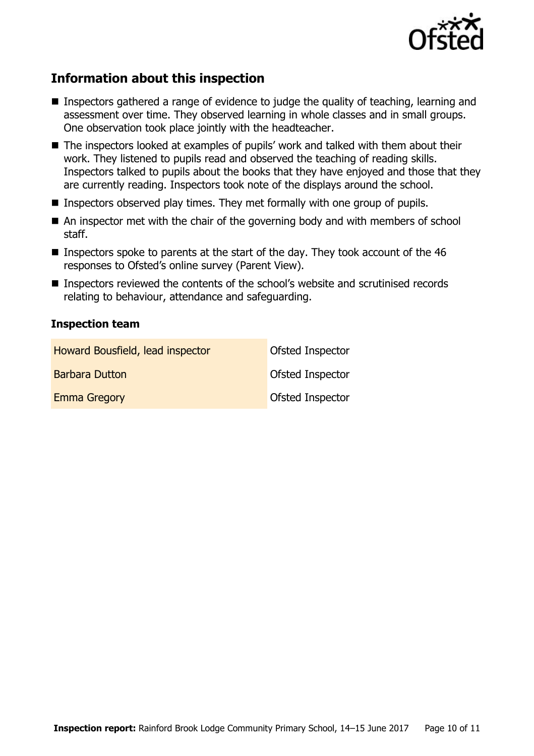

# **Information about this inspection**

- Inspectors gathered a range of evidence to judge the quality of teaching, learning and assessment over time. They observed learning in whole classes and in small groups. One observation took place jointly with the headteacher.
- The inspectors looked at examples of pupils' work and talked with them about their work. They listened to pupils read and observed the teaching of reading skills. Inspectors talked to pupils about the books that they have enjoyed and those that they are currently reading. Inspectors took note of the displays around the school.
- **Inspectors observed play times. They met formally with one group of pupils.**
- An inspector met with the chair of the governing body and with members of school staff.
- **Inspectors spoke to parents at the start of the day. They took account of the 46** responses to Ofsted's online survey (Parent View).
- Inspectors reviewed the contents of the school's website and scrutinised records relating to behaviour, attendance and safeguarding.

#### **Inspection team**

| Howard Bousfield, lead inspector | Ofsted Inspector        |
|----------------------------------|-------------------------|
| <b>Barbara Dutton</b>            | Ofsted Inspector        |
| <b>Emma Gregory</b>              | <b>Ofsted Inspector</b> |